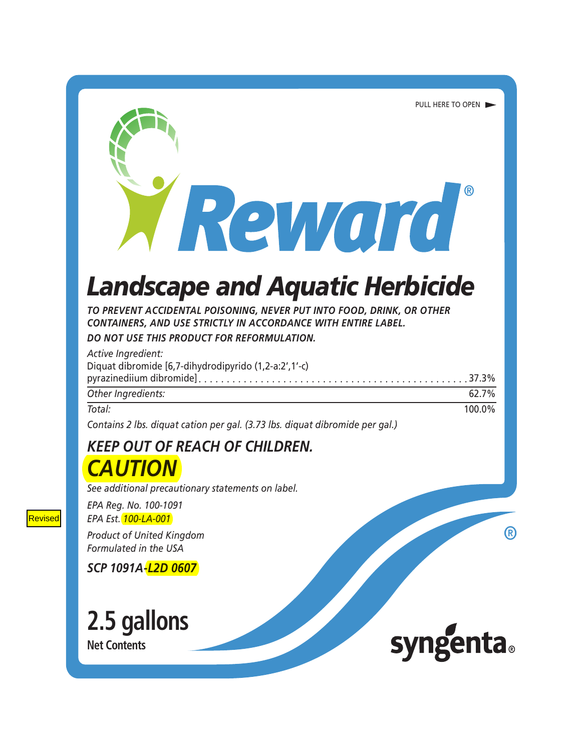# **Landscape and Aquatic Herbicide**

Reward

TO PREVENT ACCIDENTAL POISONING, NEVER PUT INTO FOOD, DRINK, OR OTHER **CONTAINERS. AND USE STRICTLY IN ACCORDANCE WITH ENTIRE LABEL.** 

DO NOT USE THIS PRODUCT FOR REFORMULATION.

| Active Ingredient:<br>Diquat dibromide [6,7-dihydrodipyrido (1,2-a:2',1'-c) |        |
|-----------------------------------------------------------------------------|--------|
|                                                                             |        |
| Other Ingredients:                                                          | 62.7%  |
| Total:                                                                      | 100.0% |

Contains 2 lbs. diquat cation per gal. (3.73 lbs. diquat dibromide per gal.)

### **KEEP OUT OF REACH OF CHILDREN. CAUTION**

See additional precautionary statements on label.

EPA Reg. No. 100-1091

EPA Est. 100-LA-001

**Product of United Kingdom** Formulated in the USA

SCP 1091A-L2D 0607

2.5 gallons **Net Contents** 



R)

PULL HERE TO OPEN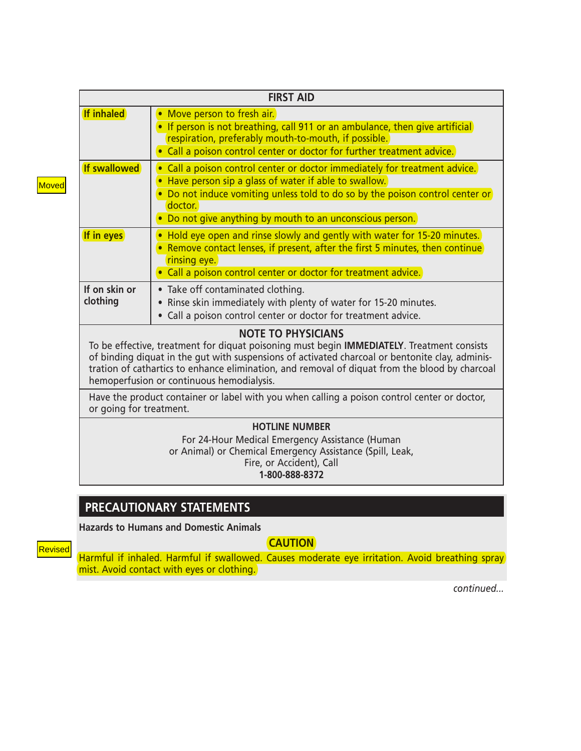| <b>FIRST AID</b>          |                                                                                                                                                                                                                                                                                                                                                                                                                                                                                                     |  |
|---------------------------|-----------------------------------------------------------------------------------------------------------------------------------------------------------------------------------------------------------------------------------------------------------------------------------------------------------------------------------------------------------------------------------------------------------------------------------------------------------------------------------------------------|--|
| <b>If inhaled</b>         | Move person to fresh air.<br>$\bullet$<br>• If person is not breathing, call 911 or an ambulance, then give artificial<br>respiration, preferably mouth-to-mouth, if possible.<br>• Call a poison control center or doctor for further treatment advice.                                                                                                                                                                                                                                            |  |
| If swallowed              | • Call a poison control center or doctor immediately for treatment advice.<br>Have person sip a glass of water if able to swallow.<br>Do not induce vomiting unless told to do so by the poison control center or<br>doctor.<br>Do not give anything by mouth to an unconscious person.                                                                                                                                                                                                             |  |
| If in eyes                | Hold eye open and rinse slowly and gently with water for 15-20 minutes.<br>• Remove contact lenses, if present, after the first 5 minutes, then continue<br>rinsing eye.<br>Call a poison control center or doctor for treatment advice.                                                                                                                                                                                                                                                            |  |
| If on skin or<br>clothing | • Take off contaminated clothing.<br>Rinse skin immediately with plenty of water for 15-20 minutes.<br>Call a poison control center or doctor for treatment advice.                                                                                                                                                                                                                                                                                                                                 |  |
|                           | <b>NOTE TO PHYSICIANS</b><br>To be effective, treatment for diquat poisoning must begin <b>IMMEDIATELY</b> . Treatment consists<br>of binding diquat in the gut with suspensions of activated charcoal or bentonite clay, adminis-<br>tration of cathartics to enhance elimination, and removal of diquat from the blood by charcoal<br>hemoperfusion or continuous hemodialysis.<br>النواط والمستحدث المستحدث ومحاجم والمحالية المحاولات ومحاطرا والماحا ومستحدث والمتحدث المروان ومحاطرا والترامي |  |

Have the product container or label with you when calling a poison control center or doctor, or going for treatment.

#### **HOTLINE NUMBER**

For 24-Hour Medical Emergency Assistance (Human or Animal) or Chemical Emergency Assistance (Spill, Leak, Fire, or Accident), Call 1-800-888-8372

#### **PRECAUTIONARY STATEMENTS**

**Hazards to Humans and Domestic Animals** 

**CAUTION** 

Revised

Harmful if inhaled. Harmful if swallowed. Causes moderate eye irritation. Avoid breathing spray mist. Avoid contact with eyes or clothing.

continued...

Moved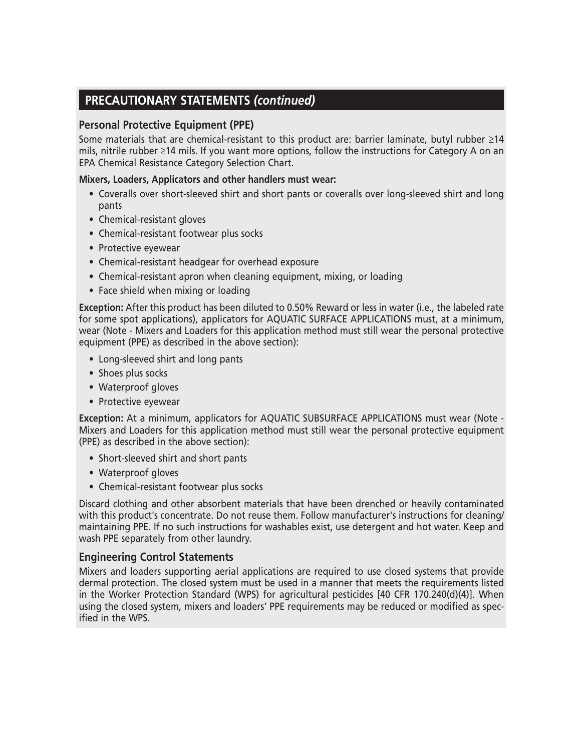### **PRECAUTIONARY STATEMENTS (continued)**

#### **Personal Protective Equipment (PPE)**

Some materials that are chemical-resistant to this product are: barrier laminate, butyl rubber  $\geq$ 14 mils, nitrile rubber ≥14 mils. If you want more options, follow the instructions for Category A on an EPA Chemical Resistance Category Selection Chart.

#### Mixers, Loaders, Applicators and other handlers must wear:

- Coveralls over short-sleeved shirt and short pants or coveralls over long-sleeved shirt and long pants
- Chemical-resistant gloves
- Chemical-resistant footwear plus socks
- Protective eyewear
- Chemical-resistant headgear for overhead exposure
- Chemical-resistant apron when cleaning equipment, mixing, or loading
- Face shield when mixing or loading

Exception: After this product has been diluted to 0.50% Reward or less in water (i.e., the labeled rate for some spot applications), applicators for AQUATIC SURFACE APPLICATIONS must, at a minimum, wear (Note - Mixers and Loaders for this application method must still wear the personal protective equipment (PPE) as described in the above section):

- Long-sleeved shirt and long pants
- Shoes plus socks
- Waterproof gloves
- Protective eyewear

Exception: At a minimum, applicators for AQUATIC SUBSURFACE APPLICATIONS must wear (Note -Mixers and Loaders for this application method must still wear the personal protective equipment (PPE) as described in the above section):

- Short-sleeved shirt and short pants
- Waterproof gloves
- Chemical-resistant footwear plus socks

Discard clothing and other absorbent materials that have been drenched or heavily contaminated with this product's concentrate. Do not reuse them. Follow manufacturer's instructions for cleaning/ maintaining PPE. If no such instructions for washables exist, use detergent and hot water. Keep and wash PPE separately from other laundry.

#### **Engineering Control Statements**

Mixers and loaders supporting aerial applications are required to use closed systems that provide dermal protection. The closed system must be used in a manner that meets the requirements listed in the Worker Protection Standard (WPS) for agricultural pesticides [40 CFR 170.240(d)(4)]. When using the closed system, mixers and loaders' PPE requirements may be reduced or modified as specified in the WPS.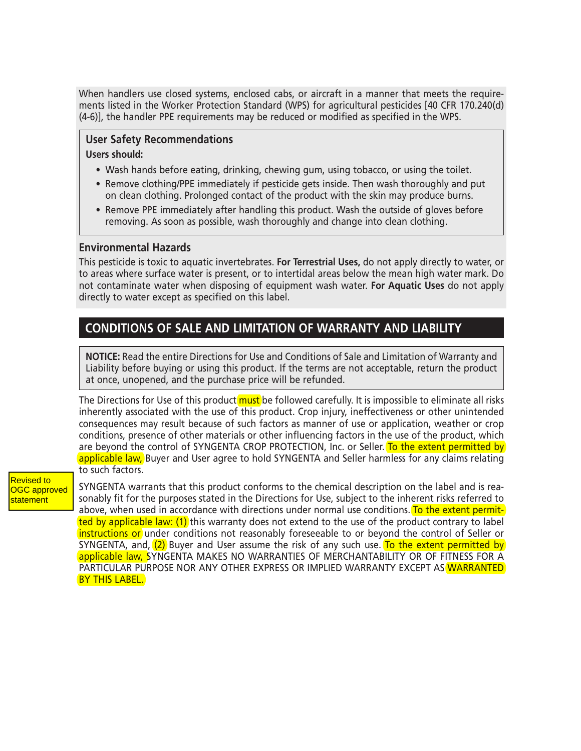When handlers use closed systems, enclosed cabs, or aircraft in a manner that meets the requirements listed in the Worker Protection Standard (WPS) for agricultural pesticides [40 CFR 170.240(d) (4-6)], the handler PPE requirements may be reduced or modified as specified in the WPS.

### **User Safety Recommendations**

#### **Users should:**

- . Wash hands before eating, drinking, chewing gum, using tobacco, or using the toilet.
- Remove clothing/PPE immediately if pesticide gets inside. Then wash thoroughly and put on clean clothing. Prolonged contact of the product with the skin may produce burns.
- Remove PPE immediately after handling this product. Wash the outside of gloves before removing. As soon as possible, wash thoroughly and change into clean clothing.

#### **Environmental Hazards**

This pesticide is toxic to aquatic invertebrates. For Terrestrial Uses, do not apply directly to water, or to areas where surface water is present, or to intertidal areas below the mean high water mark. Do not contaminate water when disposing of equipment wash water. For Aquatic Uses do not apply directly to water except as specified on this label.

### **CONDITIONS OF SALE AND LIMITATION OF WARRANTY AND LIABILITY**

**NOTICE:** Read the entire Directions for Use and Conditions of Sale and Limitation of Warranty and Liability before buying or using this product. If the terms are not acceptable, return the product at once, unopened, and the purchase price will be refunded.

The Directions for Use of this product must be followed carefully. It is impossible to eliminate all risks inherently associated with the use of this product. Crop injury, ineffectiveness or other unintended consequences may result because of such factors as manner of use or application, weather or crop conditions, presence of other materials or other influencing factors in the use of the product, which are beyond the control of SYNGENTA CROP PROTECTION, Inc. or Seller. To the extent permitted by applicable law, Buyer and User agree to hold SYNGENTA and Seller harmless for any claims relating to such factors.

Revised to **OGC** approved statement

SYNGENTA warrants that this product conforms to the chemical description on the label and is reasonably fit for the purposes stated in the Directions for Use, subject to the inherent risks referred to above, when used in accordance with directions under normal use conditions. To the extent permitted by applicable law: (1) this warranty does not extend to the use of the product contrary to label instructions or under conditions not reasonably foreseeable to or beyond the control of Seller or SYNGENTA, and,  $(2)$  Buyer and User assume the risk of any such use. To the extent permitted by applicable law, SYNGENTA MAKES NO WARRANTIES OF MERCHANTABILITY OR OF FITNESS FOR A PARTICULAR PURPOSE NOR ANY OTHER EXPRESS OR IMPLIED WARRANTY EXCEPT AS WARRANTED BY THIS LABEL.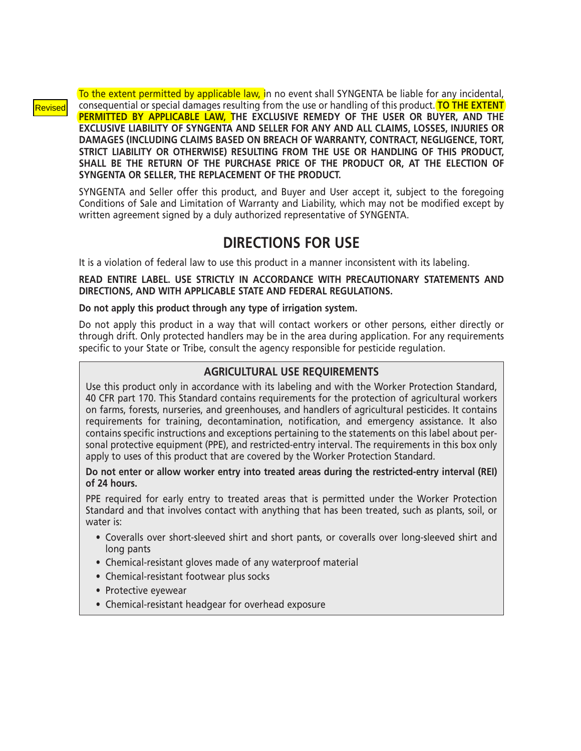#### Revised

To the extent permitted by applicable law, in no event shall SYNGENTA be liable for any incidental, consequential or special damages resulting from the use or handling of this product. **TO THE EXTENT** PERMITTED BY APPLICABLE LAW, THE EXCLUSIVE REMEDY OF THE USER OR BUYER, AND THE EXCLUSIVE LIABILITY OF SYNGENTA AND SELLER FOR ANY AND ALL CLAIMS, LOSSES, INJURIES OR DAMAGES (INCLUDING CLAIMS BASED ON BREACH OF WARRANTY, CONTRACT, NEGLIGENCE, TORT, STRICT LIABILITY OR OTHERWISE) RESULTING FROM THE USE OR HANDLING OF THIS PRODUCT, SHALL BE THE RETURN OF THE PURCHASE PRICE OF THE PRODUCT OR, AT THE ELECTION OF SYNGENTA OR SELLER. THE REPLACEMENT OF THE PRODUCT.

SYNGENTA and Seller offer this product, and Buyer and User accept it, subject to the foregoing Conditions of Sale and Limitation of Warranty and Liability, which may not be modified except by written agreement signed by a duly authorized representative of SYNGENTA.

### **DIRECTIONS FOR USE**

It is a violation of federal law to use this product in a manner inconsistent with its labeling.

READ ENTIRE LABEL. USE STRICTLY IN ACCORDANCE WITH PRECAUTIONARY STATEMENTS AND DIRECTIONS. AND WITH APPLICABLE STATE AND FEDERAL REGULATIONS.

Do not apply this product through any type of irrigation system.

Do not apply this product in a way that will contact workers or other persons, either directly or through drift. Only protected handlers may be in the area during application. For any requirements specific to your State or Tribe, consult the agency responsible for pesticide regulation.

#### **AGRICULTURAL USE REQUIREMENTS**

Use this product only in accordance with its labeling and with the Worker Protection Standard, 40 CFR part 170. This Standard contains requirements for the protection of agricultural workers on farms, forests, nurseries, and greenhouses, and handlers of agricultural pesticides. It contains requirements for training, decontamination, notification, and emergency assistance. It also contains specific instructions and exceptions pertaining to the statements on this label about personal protective equipment (PPE), and restricted-entry interval. The requirements in this box only apply to uses of this product that are covered by the Worker Protection Standard.

Do not enter or allow worker entry into treated areas during the restricted-entry interval (REI) of 24 hours.

PPE required for early entry to treated areas that is permitted under the Worker Protection Standard and that involves contact with anything that has been treated, such as plants, soil, or water is:

- Coveralls over short-sleeved shirt and short pants, or coveralls over long-sleeved shirt and long pants
- Chemical-resistant gloves made of any waterproof material
- Chemical-resistant footwear plus socks
- Protective evewear
- Chemical-resistant headgear for overhead exposure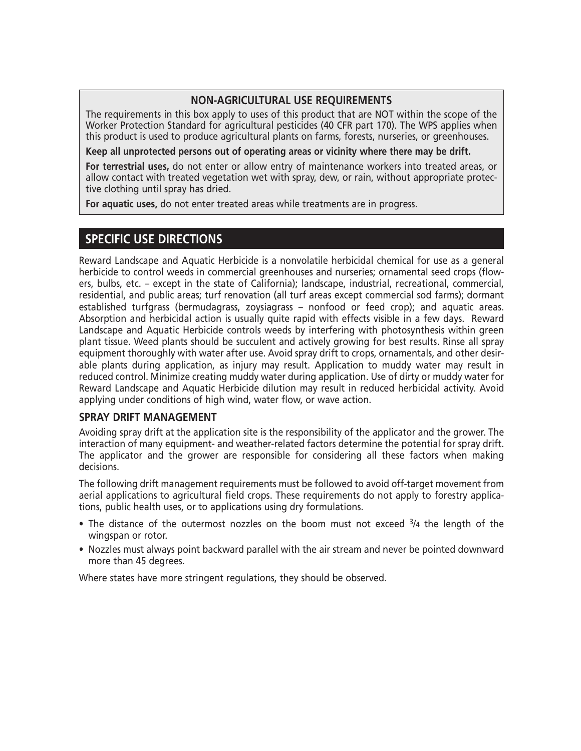#### **NON-AGRICULTURAL USE REQUIREMENTS**

The requirements in this box apply to uses of this product that are NOT within the scope of the Worker Protection Standard for agricultural pesticides (40 CFR part 170). The WPS applies when this product is used to produce agricultural plants on farms, forests, nurseries, or greenhouses.

Keep all unprotected persons out of operating areas or vicinity where there may be drift.

For terrestrial uses, do not enter or allow entry of maintenance workers into treated areas, or allow contact with treated vegetation wet with spray, dew, or rain, without appropriate protective clothing until spray has dried.

For aquatic uses, do not enter treated areas while treatments are in progress.

#### **SPECIFIC USE DIRECTIONS**

Reward Landscape and Aquatic Herbicide is a nonvolatile herbicidal chemical for use as a general herbicide to control weeds in commercial greenhouses and nurseries; ornamental seed crops (flowers, bulbs, etc. - except in the state of California); landscape, industrial, recreational, commercial, residential, and public areas; turf renovation (all turf areas except commercial sod farms); dormant established turfgrass (bermudagrass, zoysiagrass – nonfood or feed crop); and aquatic areas. Absorption and herbicidal action is usually quite rapid with effects visible in a few days. Reward Landscape and Aquatic Herbicide controls weeds by interfering with photosynthesis within green plant tissue. Weed plants should be succulent and actively growing for best results. Rinse all spray equipment thoroughly with water after use. Avoid spray drift to crops, ornamentals, and other desirable plants during application, as injury may result. Application to muddy water may result in reduced control. Minimize creating muddy water during application. Use of dirty or muddy water for Reward Landscape and Aguatic Herbicide dilution may result in reduced herbicidal activity. Avoid applying under conditions of high wind, water flow, or wave action.

#### **SPRAY DRIFT MANAGEMENT**

Avoiding spray drift at the application site is the responsibility of the applicator and the grower. The interaction of many equipment- and weather-related factors determine the potential for spray drift. The applicator and the grower are responsible for considering all these factors when making decisions.

The following drift management requirements must be followed to avoid off-target movement from aerial applications to agricultural field crops. These requirements do not apply to forestry applications, public health uses, or to applications using dry formulations.

- The distance of the outermost nozzles on the boom must not exceed 3/4 the length of the wingspan or rotor.
- Nozzles must always point backward parallel with the air stream and never be pointed downward more than 45 degrees.

Where states have more stringent regulations, they should be observed.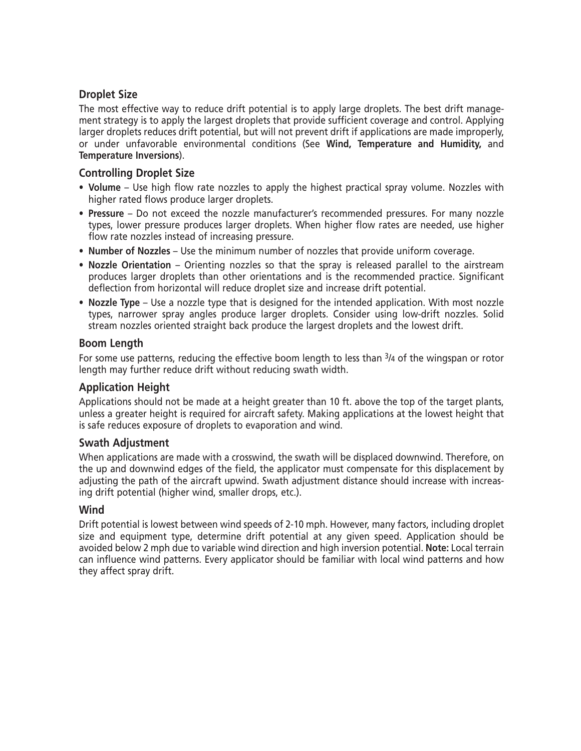#### **Droplet Size**

The most effective way to reduce drift potential is to apply large droplets. The best drift management strategy is to apply the largest droplets that provide sufficient coverage and control. Applying larger droplets reduces drift potential, but will not prevent drift if applications are made improperly, or under unfavorable environmental conditions (See Wind, Temperature and Humidity, and Temperature Inversions).

#### **Controlling Droplet Size**

- Volume Use high flow rate nozzles to apply the highest practical spray volume. Nozzles with higher rated flows produce larger droplets.
- Pressure Do not exceed the nozzle manufacturer's recommended pressures. For many nozzle types, lower pressure produces larger droplets. When higher flow rates are needed, use higher flow rate nozzles instead of increasing pressure.
- Number of Nozzles Use the minimum number of nozzles that provide uniform coverage.
- Nozzle Orientation Orienting nozzles so that the spray is released parallel to the airstream produces larger droplets than other orientations and is the recommended practice. Significant deflection from horizontal will reduce droplet size and increase drift potential.
- Nozzle Type Use a nozzle type that is designed for the intended application. With most nozzle types, narrower spray angles produce larger droplets. Consider using low-drift nozzles. Solid stream nozzles oriented straight back produce the largest droplets and the lowest drift.

#### **Boom Length**

For some use patterns, reducing the effective boom length to less than <sup>3</sup>/4 of the wingspan or rotor length may further reduce drift without reducing swath width.

#### **Application Height**

Applications should not be made at a height greater than 10 ft. above the top of the target plants, unless a greater height is reguired for aircraft safety. Making applications at the lowest height that is safe reduces exposure of droplets to evaporation and wind.

#### **Swath Adjustment**

When applications are made with a crosswind, the swath will be displaced downwind. Therefore, on the up and downwind edges of the field, the applicator must compensate for this displacement by adjusting the path of the aircraft upwind. Swath adjustment distance should increase with increasing drift potential (higher wind, smaller drops, etc.).

#### Wind

Drift potential is lowest between wind speeds of 2-10 mph. However, many factors, including droplet size and equipment type, determine drift potential at any given speed. Application should be avoided below 2 mph due to variable wind direction and high inversion potential. Note: Local terrain can influence wind patterns. Every applicator should be familiar with local wind patterns and how they affect spray drift.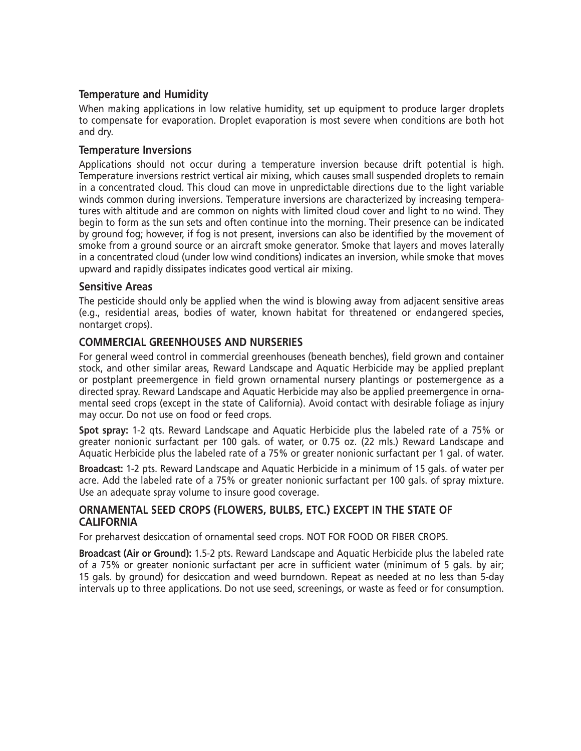#### **Temperature and Humidity**

When making applications in low relative humidity, set up equipment to produce larger droplets to compensate for evaporation. Droplet evaporation is most severe when conditions are both hot and dry.

#### **Temperature Inversions**

Applications should not occur during a temperature inversion because drift potential is high. Temperature inversions restrict vertical air mixing, which causes small suspended droplets to remain in a concentrated cloud. This cloud can move in unpredictable directions due to the light variable winds common during inversions. Temperature inversions are characterized by increasing temperatures with altitude and are common on nights with limited cloud cover and light to no wind. They begin to form as the sun sets and often continue into the morning. Their presence can be indicated by ground fog; however, if fog is not present, inversions can also be identified by the movement of smoke from a ground source or an aircraft smoke generator. Smoke that layers and moves laterally in a concentrated cloud (under low wind conditions) indicates an inversion, while smoke that moves upward and rapidly dissipates indicates good vertical air mixing.

#### **Sensitive Areas**

The pesticide should only be applied when the wind is blowing away from adjacent sensitive areas (e.g., residential areas, bodies of water, known habitat for threatened or endangered species, nontarget crops).

#### **COMMERCIAL GREENHOUSES AND NURSERIES**

For general weed control in commercial greenhouses (beneath benches), field grown and container stock, and other similar areas, Reward Landscape and Aquatic Herbicide may be applied preplant or postplant preemergence in field grown ornamental nursery plantings or postemergence as a directed spray. Reward Landscape and Aquatic Herbicide may also be applied preemergence in ornamental seed crops (except in the state of California). Avoid contact with desirable foliage as injury may occur. Do not use on food or feed crops.

Spot spray: 1-2 gts. Reward Landscape and Aguatic Herbicide plus the labeled rate of a 75% or greater nonionic surfactant per 100 gals. of water, or 0.75 oz. (22 mls.) Reward Landscape and Aquatic Herbicide plus the labeled rate of a 75% or greater nonionic surfactant per 1 gal. of water.

Broadcast: 1-2 pts. Reward Landscape and Aquatic Herbicide in a minimum of 15 gals. of water per acre. Add the labeled rate of a 75% or greater nonionic surfactant per 100 gals. of spray mixture. Use an adequate spray volume to insure good coverage.

#### ORNAMENTAL SEED CROPS (FLOWERS, BULBS, ETC.) EXCEPT IN THE STATE OF **CALIFORNIA**

For preharvest desiccation of ornamental seed crops. NOT FOR FOOD OR FIBER CROPS.

Broadcast (Air or Ground): 1.5-2 pts. Reward Landscape and Aquatic Herbicide plus the labeled rate of a 75% or greater nonionic surfactant per acre in sufficient water (minimum of 5 gals. by air; 15 gals. by ground) for desiccation and weed burndown. Repeat as needed at no less than 5-day intervals up to three applications. Do not use seed, screenings, or waste as feed or for consumption.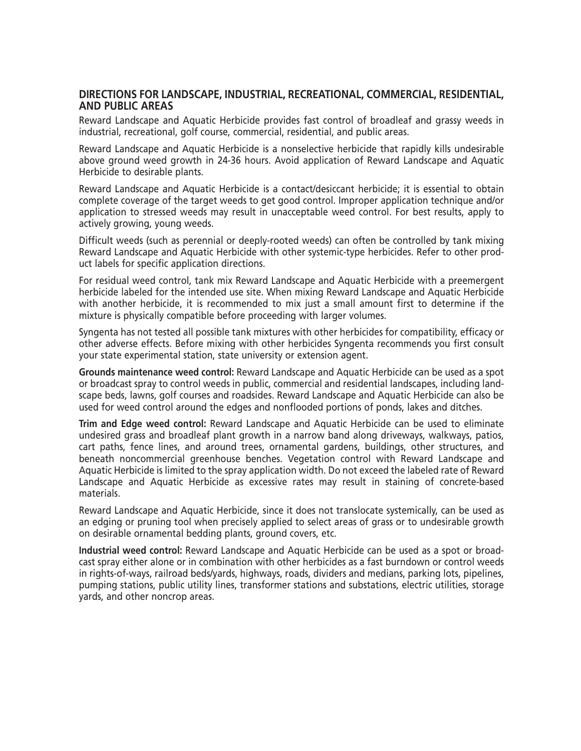#### DIRECTIONS FOR LANDSCAPE, INDUSTRIAL, RECREATIONAL, COMMERCIAL, RESIDENTIAL, **AND PUBLIC AREAS**

Reward Landscape and Aquatic Herbicide provides fast control of broadleaf and grassy weeds in industrial, recreational, golf course, commercial, residential, and public areas.

Reward Landscape and Aquatic Herbicide is a nonselective herbicide that rapidly kills undesirable above ground weed growth in 24-36 hours. Avoid application of Reward Landscape and Aquatic Herbicide to desirable plants.

Reward Landscape and Aquatic Herbicide is a contact/desiccant herbicide; it is essential to obtain complete coverage of the target weeds to get good control. Improper application technique and/or application to stressed weeds may result in unacceptable weed control. For best results, apply to actively growing, young weeds.

Difficult weeds (such as perennial or deeply-rooted weeds) can often be controlled by tank mixing Reward Landscape and Aquatic Herbicide with other systemic-type herbicides. Refer to other product labels for specific application directions.

For residual weed control, tank mix Reward Landscape and Aquatic Herbicide with a preemergent herbicide labeled for the intended use site. When mixing Reward Landscape and Aquatic Herbicide with another herbicide, it is recommended to mix just a small amount first to determine if the mixture is physically compatible before proceeding with larger volumes.

Syngenta has not tested all possible tank mixtures with other herbicides for compatibility, efficacy or other adverse effects. Before mixing with other herbicides Syngenta recommends you first consult your state experimental station, state university or extension agent.

Grounds maintenance weed control: Reward Landscape and Aquatic Herbicide can be used as a spot or broadcast spray to control weeds in public, commercial and residential landscapes, including landscape beds, lawns, golf courses and roadsides. Reward Landscape and Aquatic Herbicide can also be used for weed control around the edges and nonflooded portions of ponds, lakes and ditches.

Trim and Edge weed control: Reward Landscape and Aquatic Herbicide can be used to eliminate undesired grass and broadleaf plant growth in a narrow band along driveways, walkways, patios, cart paths, fence lines, and around trees, ornamental gardens, buildings, other structures, and beneath noncommercial greenhouse benches. Vegetation control with Reward Landscape and Aquatic Herbicide is limited to the spray application width. Do not exceed the labeled rate of Reward Landscape and Aquatic Herbicide as excessive rates may result in staining of concrete-based materials.

Reward Landscape and Aquatic Herbicide, since it does not translocate systemically, can be used as an edging or pruning tool when precisely applied to select areas of grass or to undesirable growth on desirable ornamental bedding plants, ground covers, etc.

Industrial weed control: Reward Landscape and Aquatic Herbicide can be used as a spot or broadcast spray either alone or in combination with other herbicides as a fast burndown or control weeds in rights-of-ways, railroad beds/yards, highways, roads, dividers and medians, parking lots, pipelines, pumping stations, public utility lines, transformer stations and substations, electric utilities, storage yards, and other noncrop areas.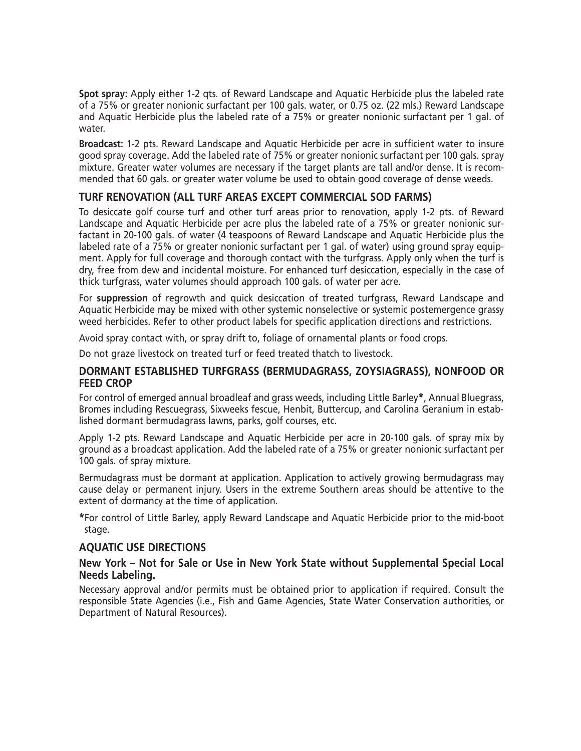Spot spray: Apply either 1-2 qts. of Reward Landscape and Aquatic Herbicide plus the labeled rate of a 75% or greater nonionic surfactant per 100 gals. water, or 0.75 oz. (22 mls.) Reward Landscape and Aquatic Herbicide plus the labeled rate of a 75% or greater nonionic surfactant per 1 gal. of water.

Broadcast: 1-2 pts. Reward Landscape and Aquatic Herbicide per acre in sufficient water to insure good spray coverage. Add the labeled rate of 75% or greater nonionic surfactant per 100 gals, spray mixture. Greater water volumes are necessary if the target plants are tall and/or dense. It is recommended that 60 gals, or greater water volume be used to obtain good coverage of dense weeds.

#### TURF RENOVATION (ALL TURF AREAS EXCEPT COMMERCIAL SOD FARMS)

To desiccate golf course turf and other turf areas prior to renovation, apply 1-2 pts. of Reward Landscape and Aquatic Herbicide per acre plus the labeled rate of a 75% or greater nonionic surfactant in 20-100 gals. of water (4 teaspoons of Reward Landscape and Aquatic Herbicide plus the labeled rate of a 75% or greater nonionic surfactant per 1 gal. of water) using ground spray equipment. Apply for full coverage and thorough contact with the turfgrass. Apply only when the turf is dry, free from dew and incidental moisture. For enhanced turf desiccation, especially in the case of thick turfgrass, water volumes should approach 100 gals. of water per acre.

For suppression of regrowth and quick desiccation of treated turfgrass, Reward Landscape and Aquatic Herbicide may be mixed with other systemic nonselective or systemic postemergence grassy weed herbicides. Refer to other product labels for specific application directions and restrictions.

Avoid spray contact with, or spray drift to, foliage of ornamental plants or food crops.

Do not graze livestock on treated turf or feed treated thatch to livestock.

#### DORMANT ESTABLISHED TURFGRASS (BERMUDAGRASS, ZOYSIAGRASS), NONFOOD OR **FEED CROP**

For control of emerged annual broadleaf and grass weeds, including Little Barley\*, Annual Bluegrass, Bromes including Rescuegrass, Sixweeks fescue, Henbit, Buttercup, and Carolina Geranium in established dormant bermudagrass lawns, parks, golf courses, etc.

Apply 1-2 pts. Reward Landscape and Aquatic Herbicide per acre in 20-100 gals, of spray mix by ground as a broadcast application. Add the labeled rate of a 75% or greater nonionic surfactant per 100 gals. of spray mixture.

Bermudagrass must be dormant at application. Application to actively growing bermudagrass may cause delay or permanent injury. Users in the extreme Southern areas should be attentive to the extent of dormancy at the time of application.

\*For control of Little Barley, apply Reward Landscape and Aquatic Herbicide prior to the mid-boot stage.

#### **AQUATIC USE DIRECTIONS**

#### New York – Not for Sale or Use in New York State without Supplemental Special Local Needs Labeling.

Necessary approval and/or permits must be obtained prior to application if required. Consult the responsible State Agencies (i.e., Fish and Game Agencies, State Water Conservation authorities, or Department of Natural Resources).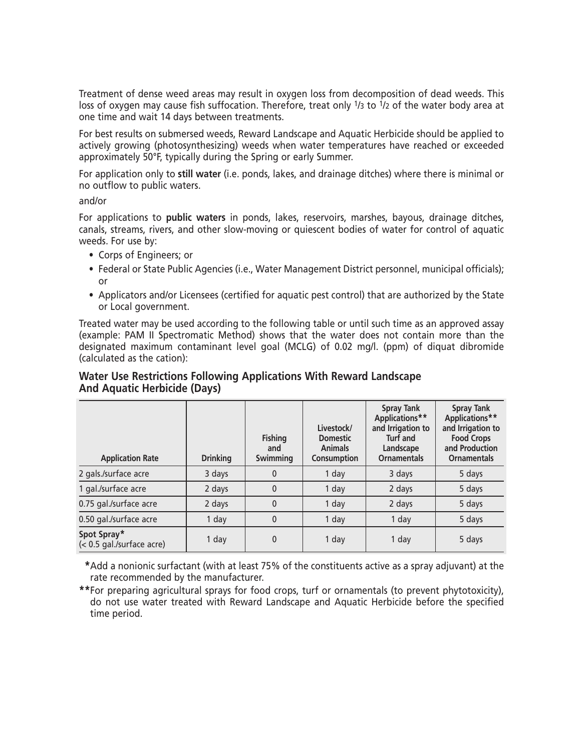Treatment of dense weed areas may result in oxygen loss from decomposition of dead weeds. This loss of oxygen may cause fish suffocation. Therefore, treat only 1/3 to 1/2 of the water body area at one time and wait 14 days between treatments.

For best results on submersed weeds, Reward Landscape and Aquatic Herbicide should be applied to actively growing (photosynthesizing) weeds when water temperatures have reached or exceeded approximately 50°F, typically during the Spring or early Summer.

For application only to still water (i.e. ponds, lakes, and drainage ditches) where there is minimal or no outflow to public waters.

 $and/or$ 

For applications to public waters in ponds, lakes, reservoirs, marshes, bayous, drainage ditches, canals, streams, rivers, and other slow-moving or quiescent bodies of water for control of aquatic weeds. For use by:

- Corps of Engineers; or
- Federal or State Public Agencies (i.e., Water Management District personnel, municipal officials);  $\alpha$ r
- Applicators and/or Licensees (certified for aquatic pest control) that are authorized by the State or Local government.

Treated water may be used according to the following table or until such time as an approved assay (example: PAM II Spectromatic Method) shows that the water does not contain more than the designated maximum contaminant level goal (MCLG) of 0.02 mg/l. (ppm) of diquat dibromide (calculated as the cation):

### Water Use Restrictions Following Applications With Reward Landscape **And Aquatic Herbicide (Days)**

| <b>Application Rate</b>                  | <b>Drinking</b> | <b>Fishing</b><br>and<br>Swimming | Livestock/<br><b>Domestic</b><br><b>Animals</b><br>Consumption | <b>Spray Tank</b><br>Applications**<br>and Irrigation to<br><b>Turf and</b><br>Landscape<br><b>Ornamentals</b> | <b>Spray Tank</b><br>Applications**<br>and Irrigation to<br><b>Food Crops</b><br>and Production<br><b>Ornamentals</b> |
|------------------------------------------|-----------------|-----------------------------------|----------------------------------------------------------------|----------------------------------------------------------------------------------------------------------------|-----------------------------------------------------------------------------------------------------------------------|
| 2 gals./surface acre                     | 3 days          | $\mathbf{0}$                      | 1 day                                                          | 3 days                                                                                                         | 5 days                                                                                                                |
| 1 gal./surface acre                      | 2 days          | $\mathbf{0}$                      | 1 day                                                          | 2 days                                                                                                         | 5 days                                                                                                                |
| 0.75 gal./surface acre                   | 2 days          | $\mathbf{0}$                      | 1 day                                                          | 2 days                                                                                                         | 5 days                                                                                                                |
| 0.50 gal./surface acre                   | 1 day           | $\mathbf{0}$                      | 1 day                                                          | 1 day                                                                                                          | 5 days                                                                                                                |
| Spot Spray*<br>(< 0.5 gal./surface acre) | 1 day           | 0                                 | 1 day                                                          | 1 day                                                                                                          | 5 days                                                                                                                |

\*Add a nonionic surfactant (with at least 75% of the constituents active as a spray adjuvant) at the rate recommended by the manufacturer.

\*\*For preparing agricultural sprays for food crops, turf or ornamentals (to prevent phytotoxicity), do not use water treated with Reward Landscape and Aquatic Herbicide before the specified time period.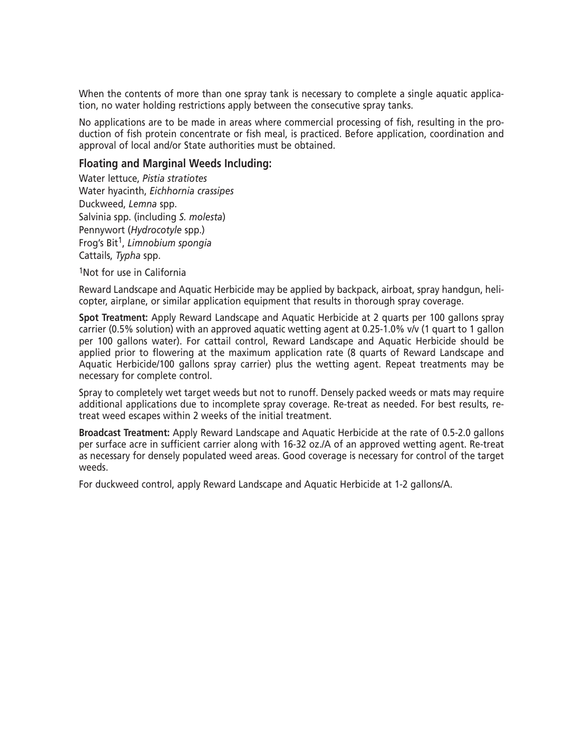When the contents of more than one spray tank is necessary to complete a single aquatic application, no water holding restrictions apply between the consecutive spray tanks.

No applications are to be made in areas where commercial processing of fish, resulting in the production of fish protein concentrate or fish meal, is practiced. Before application, coordination and approval of local and/or State authorities must be obtained.

#### **Floating and Marginal Weeds Including:**

Water lettuce, Pistia stratiotes Water hyacinth, Eichhornia crassipes Duckweed, Lemna spp. Salvinia spp. (including S. molesta) Pennywort (Hydrocotyle spp.) Frog's Bit<sup>1</sup>, Limnobium spongia Cattails, Typha spp.

<sup>1</sup>Not for use in California

Reward Landscape and Aquatic Herbicide may be applied by backpack, airboat, spray handgun, helicopter, airplane, or similar application equipment that results in thorough spray coverage.

Spot Treatment: Apply Reward Landscape and Aquatic Herbicide at 2 quarts per 100 gallons spray carrier (0.5% solution) with an approved aquatic wetting agent at 0.25-1.0%  $v/v$  (1 quart to 1 gallon per 100 gallons water). For cattail control, Reward Landscape and Aquatic Herbicide should be applied prior to flowering at the maximum application rate (8 quarts of Reward Landscape and Aquatic Herbicide/100 gallons spray carrier) plus the wetting agent. Repeat treatments may be necessary for complete control.

Sprav to completely wet target weeds but not to runoff. Densely packed weeds or mats may require additional applications due to incomplete spray coverage. Re-treat as needed. For best results, retreat weed escapes within 2 weeks of the initial treatment.

Broadcast Treatment: Apply Reward Landscape and Aquatic Herbicide at the rate of 0.5-2.0 gallons per surface acre in sufficient carrier along with 16-32 oz./A of an approved wetting agent. Re-treat as necessary for densely populated weed areas. Good coverage is necessary for control of the target weeds

For duckweed control, apply Reward Landscape and Aquatic Herbicide at 1-2 gallons/A.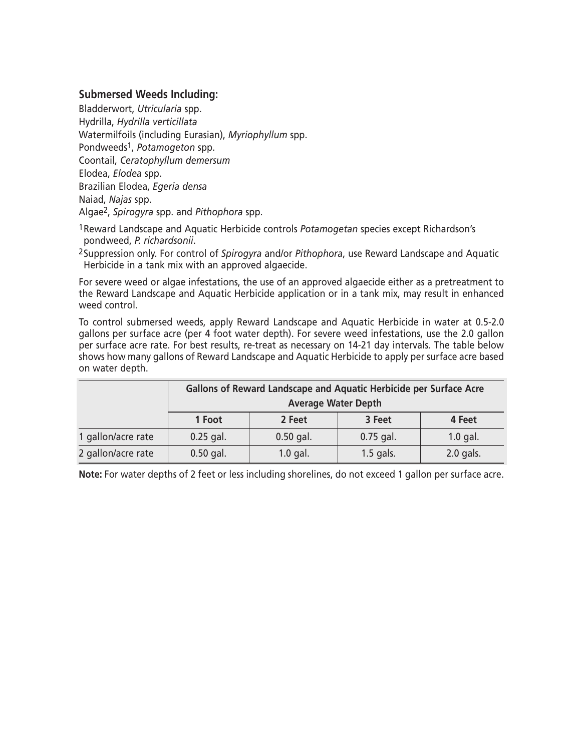#### **Submersed Weeds Including:**

Bladderwort, Utricularia spp. Hydrilla, Hydrilla verticillata Watermilfoils (including Eurasian), Myriophyllum spp. Pondweeds<sup>1</sup>, Potamogeton spp. Coontail, Ceratophyllum demersum Elodea, Elodea spp. Brazilian Elodea, Egeria densa Naiad, Najas spp. Algae<sup>2</sup>, Spirogyra spp. and Pithophora spp.

<sup>1</sup> Reward Landscape and Aquatic Herbicide controls Potamogetan species except Richardson's pondweed, P. richardsonii.

<sup>2</sup>Suppression only. For control of Spirogyra and/or Pithophora, use Reward Landscape and Aquatic Herbicide in a tank mix with an approved algaecide.

For severe weed or algae infestations, the use of an approved algaecide either as a pretreatment to the Reward Landscape and Aquatic Herbicide application or in a tank mix, may result in enhanced weed control.

To control submersed weeds, apply Reward Landscape and Aquatic Herbicide in water at 0.5-2.0 gallons per surface acre (per 4 foot water depth). For severe weed infestations, use the 2.0 gallon per surface acre rate. For best results, re-treat as necessary on 14-21 day intervals. The table below shows how many gallons of Reward Landscape and Aquatic Herbicide to apply per surface acre based on water depth.

|                    | Gallons of Reward Landscape and Aquatic Herbicide per Surface Acre<br><b>Average Water Depth</b> |             |             |            |  |
|--------------------|--------------------------------------------------------------------------------------------------|-------------|-------------|------------|--|
|                    | 1 Foot                                                                                           | 2 Feet      | 3 Feet      | 4 Feet     |  |
| 1 gallon/acre rate | $0.25$ gal.                                                                                      | $0.50$ gal. | $0.75$ gal. | $1.0$ gal. |  |
| 2 gallon/acre rate | $0.50$ gal.                                                                                      | $1.0$ gal.  | $1.5$ gals. | 2.0 gals.  |  |

Note: For water depths of 2 feet or less including shorelines, do not exceed 1 gallon per surface acre.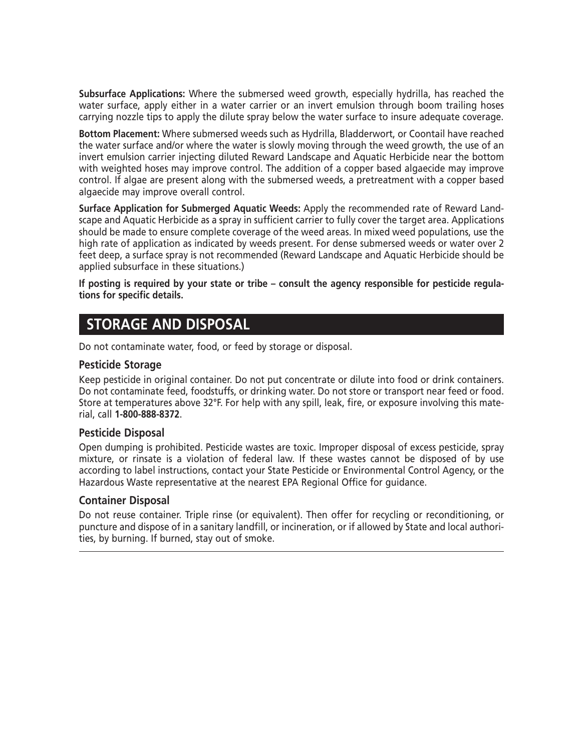Subsurface Applications: Where the submersed weed growth, especially hydrilla, has reached the water surface, apply either in a water carrier or an invert emulsion through boom trailing hoses carrying nozzle tips to apply the dilute spray below the water surface to insure adequate coverage.

Bottom Placement: Where submersed weeds such as Hydrilla, Bladderwort, or Coontail have reached the water surface and/or where the water is slowly moving through the weed growth, the use of an invert emulsion carrier injecting diluted Reward Landscape and Aquatic Herbicide near the bottom with weighted hoses may improve control. The addition of a copper based algaecide may improve control. If algae are present along with the submersed weeds, a pretreatment with a copper based algaecide may improve overall control.

Surface Application for Submerged Aquatic Weeds: Apply the recommended rate of Reward Landscape and Aquatic Herbicide as a spray in sufficient carrier to fully cover the target area. Applications should be made to ensure complete coverage of the weed areas. In mixed weed populations, use the high rate of application as indicated by weeds present. For dense submersed weeds or water over 2 feet deep, a surface spray is not recommended (Reward Landscape and Aquatic Herbicide should be applied subsurface in these situations.)

If posting is required by your state or tribe – consult the agency responsible for pesticide requlations for specific details.

### **STORAGE AND DISPOSAL**

Do not contaminate water, food, or feed by storage or disposal.

#### **Pesticide Storage**

Keep pesticide in original container. Do not put concentrate or dilute into food or drink containers. Do not contaminate feed, foodstuffs, or drinking water. Do not store or transport near feed or food. Store at temperatures above 32°F. For help with any spill, leak, fire, or exposure involving this material, call 1-800-888-8372.

#### **Pesticide Disposal**

Open dumping is prohibited. Pesticide wastes are toxic. Improper disposal of excess pesticide, spray mixture, or rinsate is a violation of federal law. If these wastes cannot be disposed of by use according to label instructions, contact your State Pesticide or Environmental Control Agency, or the Hazardous Waste representative at the nearest EPA Regional Office for quidance.

#### **Container Disposal**

Do not reuse container. Triple rinse (or equivalent). Then offer for recycling or reconditioning, or puncture and dispose of in a sanitary landfill, or incineration, or if allowed by State and local authorities, by burning. If burned, stay out of smoke.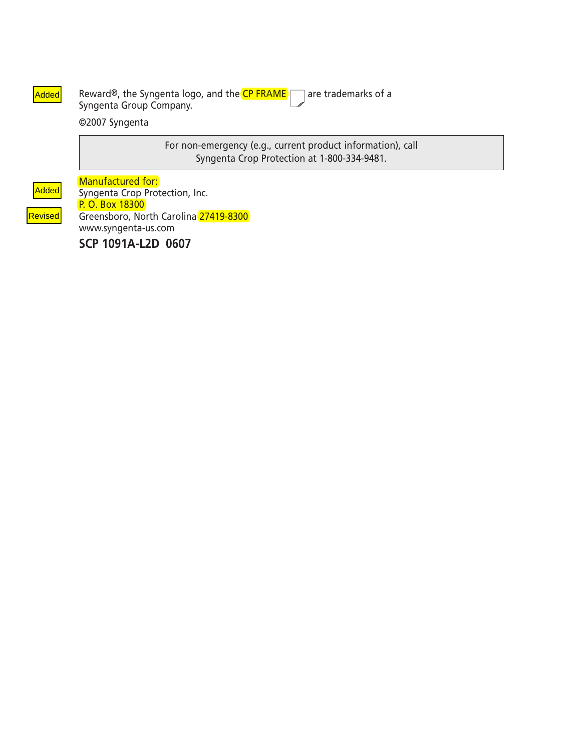Added Reward®, the Syngenta logo, and the CP FRAME are trademarks of a Syngenta Group Company.

©2007 Syngenta

For non-emergency (e.g., current product information), call Syngenta Crop Protection at 1-800-334-9481.

Added

Revised

Manufactured for: Syngenta Crop Protection, Inc. P. O. Box 18300 Greensboro, North Carolina 27419-8300 www.syngenta-us.com

SCP 1091A-L2D 0607